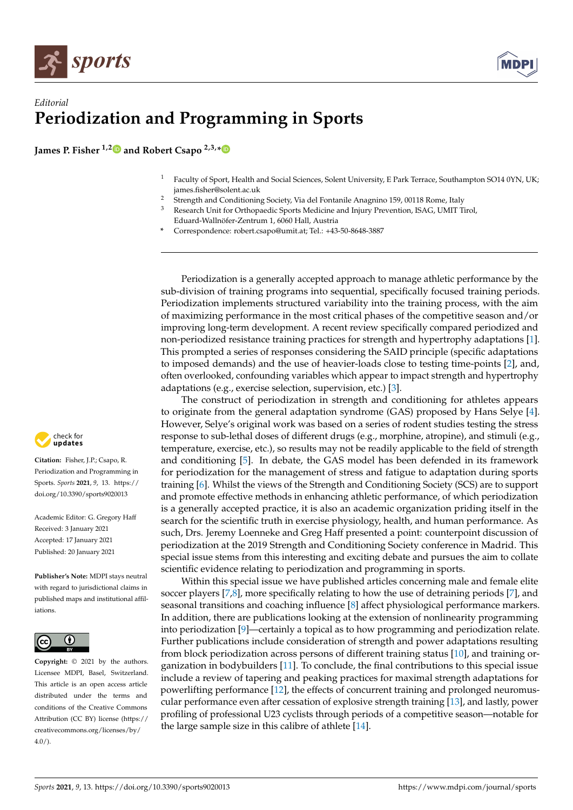



## *Editorial* **Periodization and Programming in Sports**

**James P. Fisher 1,[2](https://orcid.org/0000-0002-6013-8402) and Robert Csapo 2,3,[\\*](https://orcid.org/0000-0003-3571-2799)**

- <sup>1</sup> Faculty of Sport, Health and Social Sciences, Solent University, E Park Terrace, Southampton SO14 0YN, UK; james.fisher@solent.ac.uk
- <sup>2</sup> Strength and Conditioning Society, Via del Fontanile Anagnino 159, 00118 Rome, Italy
- <sup>3</sup> Research Unit for Orthopaedic Sports Medicine and Injury Prevention, ISAG, UMIT Tirol, Eduard-Wallnöfer-Zentrum 1, 6060 Hall, Austria
- **\*** Correspondence: robert.csapo@umit.at; Tel.: +43-50-8648-3887

Periodization is a generally accepted approach to manage athletic performance by the sub-division of training programs into sequential, specifically focused training periods. Periodization implements structured variability into the training process, with the aim of maximizing performance in the most critical phases of the competitive season and/or improving long-term development. A recent review specifically compared periodized and non-periodized resistance training practices for strength and hypertrophy adaptations [\[1\]](#page-1-0). This prompted a series of responses considering the SAID principle (specific adaptations to imposed demands) and the use of heavier-loads close to testing time-points [\[2\]](#page-1-1), and, often overlooked, confounding variables which appear to impact strength and hypertrophy adaptations (e.g., exercise selection, supervision, etc.) [\[3\]](#page-1-2).

The construct of periodization in strength and conditioning for athletes appears to originate from the general adaptation syndrome (GAS) proposed by Hans Selye [\[4\]](#page-1-3). However, Selye's original work was based on a series of rodent studies testing the stress response to sub-lethal doses of different drugs (e.g., morphine, atropine), and stimuli (e.g., temperature, exercise, etc.), so results may not be readily applicable to the field of strength and conditioning [\[5\]](#page-1-4). In debate, the GAS model has been defended in its framework for periodization for the management of stress and fatigue to adaptation during sports training [\[6\]](#page-1-5). Whilst the views of the Strength and Conditioning Society (SCS) are to support and promote effective methods in enhancing athletic performance, of which periodization is a generally accepted practice, it is also an academic organization priding itself in the search for the scientific truth in exercise physiology, health, and human performance. As such, Drs. Jeremy Loenneke and Greg Haff presented a point: counterpoint discussion of periodization at the 2019 Strength and Conditioning Society conference in Madrid. This special issue stems from this interesting and exciting debate and pursues the aim to collate scientific evidence relating to periodization and programming in sports.

Within this special issue we have published articles concerning male and female elite soccer players [\[7](#page-1-6)[,8\]](#page-1-7), more specifically relating to how the use of detraining periods [\[7\]](#page-1-6), and seasonal transitions and coaching influence [\[8\]](#page-1-7) affect physiological performance markers. In addition, there are publications looking at the extension of nonlinearity programming into periodization [\[9\]](#page-1-8)—certainly a topical as to how programming and periodization relate. Further publications include consideration of strength and power adaptations resulting from block periodization across persons of different training status [\[10\]](#page-1-9), and training organization in bodybuilders [\[11\]](#page-1-10). To conclude, the final contributions to this special issue include a review of tapering and peaking practices for maximal strength adaptations for powerlifting performance [\[12\]](#page-1-11), the effects of concurrent training and prolonged neuromuscular performance even after cessation of explosive strength training [\[13\]](#page-1-12), and lastly, power profiling of professional U23 cyclists through periods of a competitive season—notable for the large sample size in this calibre of athlete [\[14\]](#page-1-13).



**Citation:** Fisher, J.P.; Csapo, R. Periodization and Programming in Sports. *Sports* **2021**, *9*, 13. [https://](https://doi.org/10.3390/sports9020013) [doi.org/10.3390/sports9020013](https://doi.org/10.3390/sports9020013)

Academic Editor: G. Gregory Haff Received: 3 January 2021 Accepted: 17 January 2021 Published: 20 January 2021

**Publisher's Note:** MDPI stays neutral with regard to jurisdictional claims in published maps and institutional affiliations.



**Copyright:** © 2021 by the authors. Licensee MDPI, Basel, Switzerland. This article is an open access article distributed under the terms and conditions of the Creative Commons Attribution (CC BY) license (https:/[/](https://creativecommons.org/licenses/by/4.0/) [creativecommons.org/licenses/by/](https://creativecommons.org/licenses/by/4.0/)  $4.0/$ ).